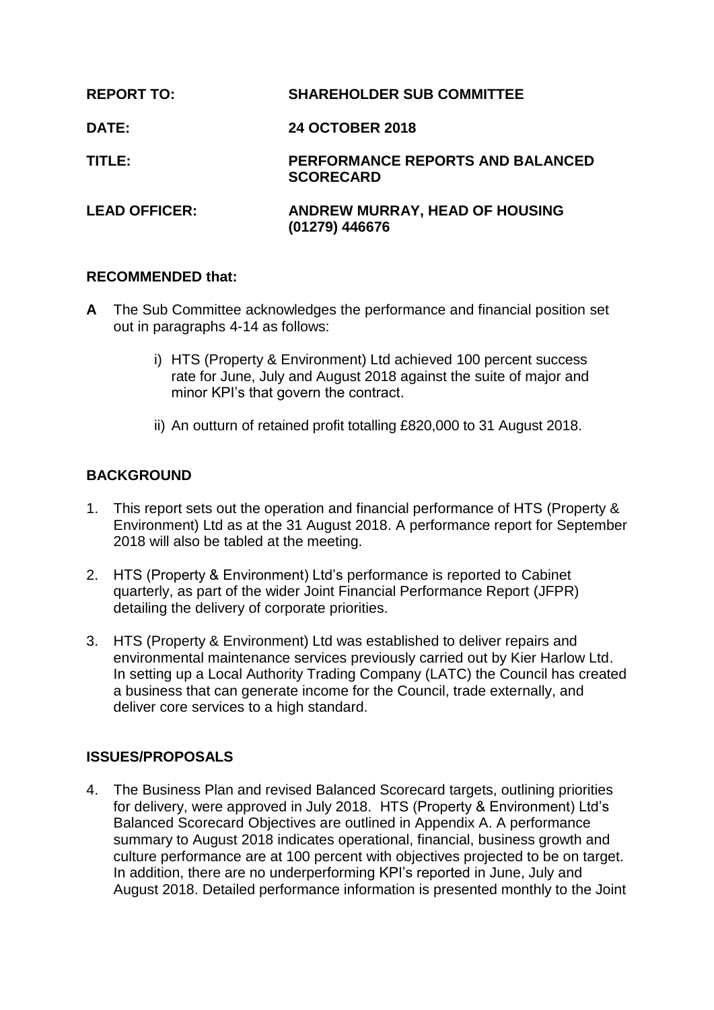| <b>REPORT TO:</b>    | <b>SHAREHOLDER SUB COMMITTEE</b>                     |
|----------------------|------------------------------------------------------|
| <b>DATE:</b>         | <b>24 OCTOBER 2018</b>                               |
| TITLE:               | PERFORMANCE REPORTS AND BALANCED<br><b>SCORECARD</b> |
| <b>LEAD OFFICER:</b> | ANDREW MURRAY, HEAD OF HOUSING<br>(01279) 446676     |

### **RECOMMENDED that:**

- **A** The Sub Committee acknowledges the performance and financial position set out in paragraphs 4-14 as follows:
	- i) HTS (Property & Environment) Ltd achieved 100 percent success rate for June, July and August 2018 against the suite of major and minor KPI's that govern the contract.
	- ii) An outturn of retained profit totalling £820,000 to 31 August 2018.

# **BACKGROUND**

- 1. This report sets out the operation and financial performance of HTS (Property & Environment) Ltd as at the 31 August 2018. A performance report for September 2018 will also be tabled at the meeting.
- 2. HTS (Property & Environment) Ltd's performance is reported to Cabinet quarterly, as part of the wider Joint Financial Performance Report (JFPR) detailing the delivery of corporate priorities.
- 3. HTS (Property & Environment) Ltd was established to deliver repairs and environmental maintenance services previously carried out by Kier Harlow Ltd. In setting up a Local Authority Trading Company (LATC) the Council has created a business that can generate income for the Council, trade externally, and deliver core services to a high standard.

# **ISSUES/PROPOSALS**

4. The Business Plan and revised Balanced Scorecard targets, outlining priorities for delivery, were approved in July 2018. HTS (Property & Environment) Ltd's Balanced Scorecard Objectives are outlined in Appendix A. A performance summary to August 2018 indicates operational, financial, business growth and culture performance are at 100 percent with objectives projected to be on target. In addition, there are no underperforming KPI's reported in June, July and August 2018. Detailed performance information is presented monthly to the Joint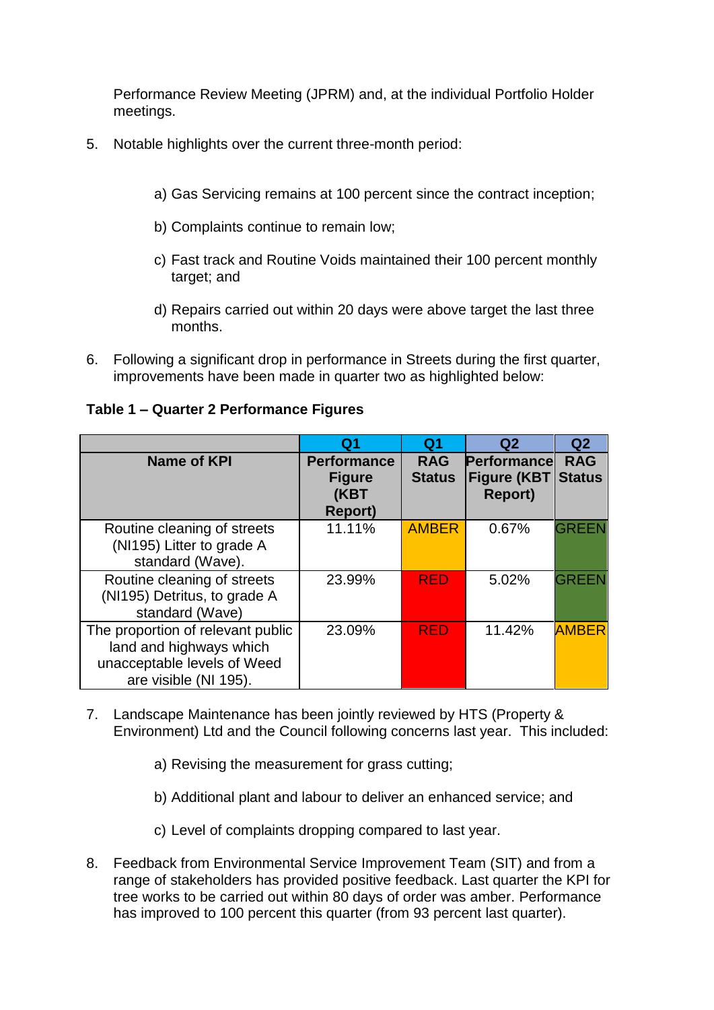Performance Review Meeting (JPRM) and, at the individual Portfolio Holder meetings.

- 5. Notable highlights over the current three-month period:
	- a) Gas Servicing remains at 100 percent since the contract inception;
	- b) Complaints continue to remain low;
	- c) Fast track and Routine Voids maintained their 100 percent monthly target; and
	- d) Repairs carried out within 20 days were above target the last three months.
- 6. Following a significant drop in performance in Streets during the first quarter, improvements have been made in quarter two as highlighted below:

|                                                                                                                      | Q <sub>1</sub>                                                 | Q1                          | Q <sub>2</sub>                                       | Q <sub>2</sub>              |
|----------------------------------------------------------------------------------------------------------------------|----------------------------------------------------------------|-----------------------------|------------------------------------------------------|-----------------------------|
| Name of KPI                                                                                                          | <b>Performance</b><br><b>Figure</b><br>(KBT<br><b>Report</b> ) | <b>RAG</b><br><b>Status</b> | Performancel<br><b>Figure (KBT</b><br><b>Report)</b> | <b>RAG</b><br><b>Status</b> |
| Routine cleaning of streets<br>(NI195) Litter to grade A<br>standard (Wave).                                         | 11.11%                                                         | <b>AMBER</b>                | 0.67%                                                | <b>GREEN</b>                |
| Routine cleaning of streets<br>(NI195) Detritus, to grade A<br>standard (Wave)                                       | 23.99%                                                         | <b>RED</b>                  | 5.02%                                                | <b>GREEN</b>                |
| The proportion of relevant public<br>land and highways which<br>unacceptable levels of Weed<br>are visible (NI 195). | 23.09%                                                         | <b>RED</b>                  | 11.42%                                               | <b>AMBER</b>                |

### **Table 1 – Quarter 2 Performance Figures**

- 7. Landscape Maintenance has been jointly reviewed by HTS (Property & Environment) Ltd and the Council following concerns last year. This included:
	- a) Revising the measurement for grass cutting;
	- b) Additional plant and labour to deliver an enhanced service; and
	- c) Level of complaints dropping compared to last year.
- 8. Feedback from Environmental Service Improvement Team (SIT) and from a range of stakeholders has provided positive feedback. Last quarter the KPI for tree works to be carried out within 80 days of order was amber. Performance has improved to 100 percent this quarter (from 93 percent last quarter).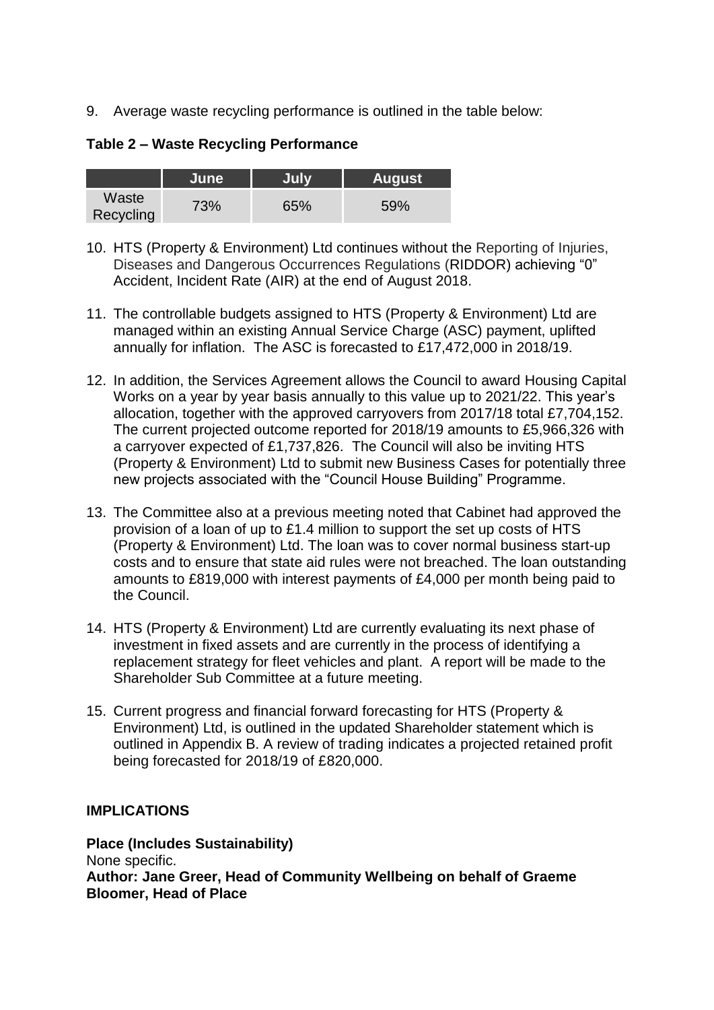9. Average waste recycling performance is outlined in the table below:

**Table 2 – Waste Recycling Performance**

|                    | June | <b>July</b> | <b>August</b> |
|--------------------|------|-------------|---------------|
| Waste<br>Recycling | 73%  | 65%         | 59%           |

- 10. HTS (Property & Environment) Ltd continues without the Reporting of Injuries, Diseases and Dangerous Occurrences Regulations (RIDDOR) achieving "0" Accident, Incident Rate (AIR) at the end of August 2018.
- 11. The controllable budgets assigned to HTS (Property & Environment) Ltd are managed within an existing Annual Service Charge (ASC) payment, uplifted annually for inflation. The ASC is forecasted to £17,472,000 in 2018/19.
- 12. In addition, the Services Agreement allows the Council to award Housing Capital Works on a year by year basis annually to this value up to 2021/22. This year's allocation, together with the approved carryovers from 2017/18 total £7,704,152. The current projected outcome reported for 2018/19 amounts to £5,966,326 with a carryover expected of £1,737,826. The Council will also be inviting HTS (Property & Environment) Ltd to submit new Business Cases for potentially three new projects associated with the "Council House Building" Programme.
- 13. The Committee also at a previous meeting noted that Cabinet had approved the provision of a loan of up to £1.4 million to support the set up costs of HTS (Property & Environment) Ltd. The loan was to cover normal business start-up costs and to ensure that state aid rules were not breached. The loan outstanding amounts to £819,000 with interest payments of £4,000 per month being paid to the Council.
- 14. HTS (Property & Environment) Ltd are currently evaluating its next phase of investment in fixed assets and are currently in the process of identifying a replacement strategy for fleet vehicles and plant. A report will be made to the Shareholder Sub Committee at a future meeting.
- 15. Current progress and financial forward forecasting for HTS (Property & Environment) Ltd, is outlined in the updated Shareholder statement which is outlined in Appendix B. A review of trading indicates a projected retained profit being forecasted for 2018/19 of £820,000.

# **IMPLICATIONS**

**Place (Includes Sustainability)** None specific. **Author: Jane Greer, Head of Community Wellbeing on behalf of Graeme Bloomer, Head of Place**